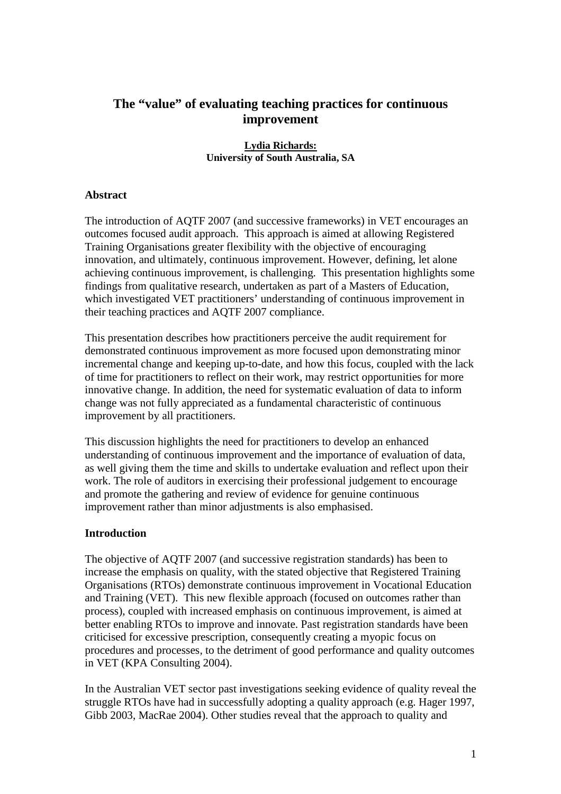# **The "value" of evaluating teaching practices for continuous improvement**

#### **Lydia Richards: University of South Australia, SA**

#### **Abstract**

The introduction of AQTF 2007 (and successive frameworks) in VET encourages an outcomes focused audit approach. This approach is aimed at allowing Registered Training Organisations greater flexibility with the objective of encouraging innovation, and ultimately, continuous improvement. However, defining, let alone achieving continuous improvement, is challenging. This presentation highlights some findings from qualitative research, undertaken as part of a Masters of Education, which investigated VET practitioners' understanding of continuous improvement in their teaching practices and AQTF 2007 compliance.

This presentation describes how practitioners perceive the audit requirement for demonstrated continuous improvement as more focused upon demonstrating minor incremental change and keeping up-to-date, and how this focus, coupled with the lack of time for practitioners to reflect on their work, may restrict opportunities for more innovative change. In addition, the need for systematic evaluation of data to inform change was not fully appreciated as a fundamental characteristic of continuous improvement by all practitioners.

This discussion highlights the need for practitioners to develop an enhanced understanding of continuous improvement and the importance of evaluation of data, as well giving them the time and skills to undertake evaluation and reflect upon their work. The role of auditors in exercising their professional judgement to encourage and promote the gathering and review of evidence for genuine continuous improvement rather than minor adjustments is also emphasised.

#### **Introduction**

The objective of AQTF 2007 (and successive registration standards) has been to increase the emphasis on quality, with the stated objective that Registered Training Organisations (RTOs) demonstrate continuous improvement in Vocational Education and Training (VET). This new flexible approach (focused on outcomes rather than process), coupled with increased emphasis on continuous improvement, is aimed at better enabling RTOs to improve and innovate. Past registration standards have been criticised for excessive prescription, consequently creating a myopic focus on procedures and processes, to the detriment of good performance and quality outcomes in VET (KPA Consulting 2004).

In the Australian VET sector past investigations seeking evidence of quality reveal the struggle RTOs have had in successfully adopting a quality approach (e.g. Hager 1997, Gibb 2003, MacRae 2004). Other studies reveal that the approach to quality and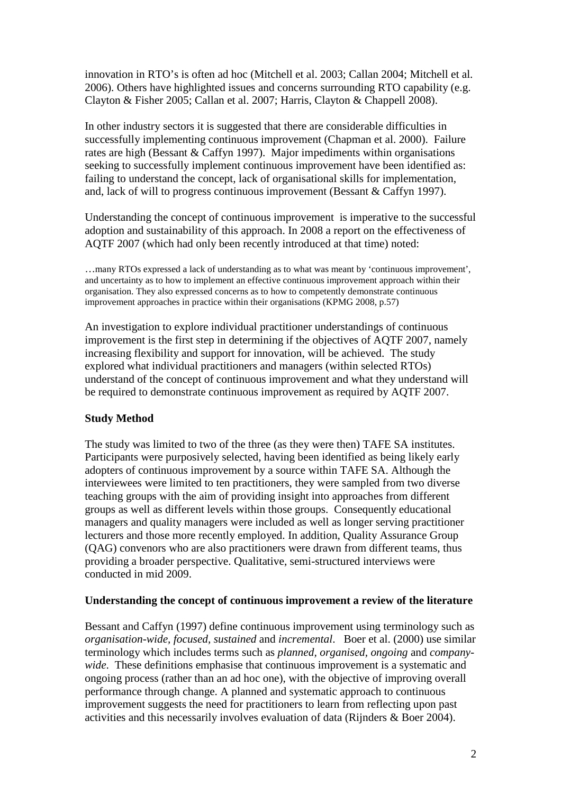innovation in RTO's is often ad hoc (Mitchell et al. 2003; Callan 2004; Mitchell et al. 2006). Others have highlighted issues and concerns surrounding RTO capability (e.g. Clayton & Fisher 2005; Callan et al. 2007; Harris, Clayton & Chappell 2008).

In other industry sectors it is suggested that there are considerable difficulties in successfully implementing continuous improvement (Chapman et al. 2000). Failure rates are high (Bessant & Caffyn 1997). Major impediments within organisations seeking to successfully implement continuous improvement have been identified as: failing to understand the concept, lack of organisational skills for implementation, and, lack of will to progress continuous improvement (Bessant & Caffyn 1997).

Understanding the concept of continuous improvement is imperative to the successful adoption and sustainability of this approach. In 2008 a report on the effectiveness of AQTF 2007 (which had only been recently introduced at that time) noted:

…many RTOs expressed a lack of understanding as to what was meant by 'continuous improvement', and uncertainty as to how to implement an effective continuous improvement approach within their organisation. They also expressed concerns as to how to competently demonstrate continuous improvement approaches in practice within their organisations (KPMG 2008, p.57)

An investigation to explore individual practitioner understandings of continuous improvement is the first step in determining if the objectives of AQTF 2007, namely increasing flexibility and support for innovation, will be achieved. The study explored what individual practitioners and managers (within selected RTOs) understand of the concept of continuous improvement and what they understand will be required to demonstrate continuous improvement as required by AQTF 2007.

# **Study Method**

The study was limited to two of the three (as they were then) TAFE SA institutes. Participants were purposively selected, having been identified as being likely early adopters of continuous improvement by a source within TAFE SA. Although the interviewees were limited to ten practitioners, they were sampled from two diverse teaching groups with the aim of providing insight into approaches from different groups as well as different levels within those groups. Consequently educational managers and quality managers were included as well as longer serving practitioner lecturers and those more recently employed. In addition, Quality Assurance Group (QAG) convenors who are also practitioners were drawn from different teams, thus providing a broader perspective. Qualitative, semi-structured interviews were conducted in mid 2009.

### **Understanding the concept of continuous improvement a review of the literature**

Bessant and Caffyn (1997) define continuous improvement using terminology such as *organisation-wide, focused, sustained* and *incremental*. Boer et al. (2000) use similar terminology which includes terms such as *planned, organised, ongoing* and *companywide*. These definitions emphasise that continuous improvement is a systematic and ongoing process (rather than an ad hoc one), with the objective of improving overall performance through change. A planned and systematic approach to continuous improvement suggests the need for practitioners to learn from reflecting upon past activities and this necessarily involves evaluation of data (Rijnders & Boer 2004).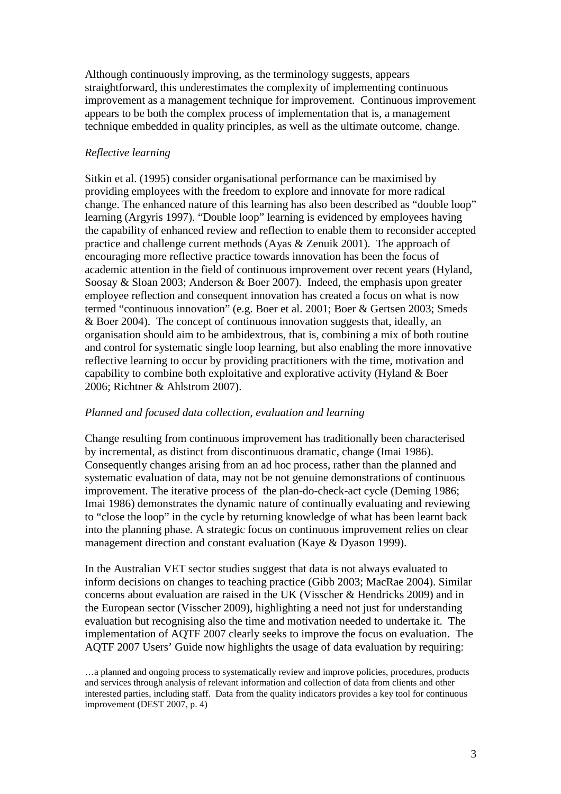Although continuously improving, as the terminology suggests, appears straightforward, this underestimates the complexity of implementing continuous improvement as a management technique for improvement. Continuous improvement appears to be both the complex process of implementation that is, a management technique embedded in quality principles, as well as the ultimate outcome, change.

# *Reflective learning*

Sitkin et al. (1995) consider organisational performance can be maximised by providing employees with the freedom to explore and innovate for more radical change. The enhanced nature of this learning has also been described as "double loop" learning (Argyris 1997). "Double loop" learning is evidenced by employees having the capability of enhanced review and reflection to enable them to reconsider accepted practice and challenge current methods (Ayas & Zenuik 2001). The approach of encouraging more reflective practice towards innovation has been the focus of academic attention in the field of continuous improvement over recent years (Hyland, Soosay & Sloan 2003; Anderson & Boer 2007). Indeed, the emphasis upon greater employee reflection and consequent innovation has created a focus on what is now termed "continuous innovation" (e.g. Boer et al. 2001; Boer & Gertsen 2003; Smeds & Boer 2004). The concept of continuous innovation suggests that, ideally, an organisation should aim to be ambidextrous, that is, combining a mix of both routine and control for systematic single loop learning, but also enabling the more innovative reflective learning to occur by providing practitioners with the time, motivation and capability to combine both exploitative and explorative activity (Hyland & Boer 2006; Richtner & Ahlstrom 2007).

### *Planned and focused data collection, evaluation and learning*

Change resulting from continuous improvement has traditionally been characterised by incremental, as distinct from discontinuous dramatic, change (Imai 1986). Consequently changes arising from an ad hoc process, rather than the planned and systematic evaluation of data, may not be not genuine demonstrations of continuous improvement. The iterative process of the plan-do-check-act cycle (Deming 1986; Imai 1986) demonstrates the dynamic nature of continually evaluating and reviewing to "close the loop" in the cycle by returning knowledge of what has been learnt back into the planning phase. A strategic focus on continuous improvement relies on clear management direction and constant evaluation (Kaye & Dyason 1999).

In the Australian VET sector studies suggest that data is not always evaluated to inform decisions on changes to teaching practice (Gibb 2003; MacRae 2004). Similar concerns about evaluation are raised in the UK (Visscher & Hendricks 2009) and in the European sector (Visscher 2009), highlighting a need not just for understanding evaluation but recognising also the time and motivation needed to undertake it. The implementation of AQTF 2007 clearly seeks to improve the focus on evaluation. The AQTF 2007 Users' Guide now highlights the usage of data evaluation by requiring:

<sup>…</sup>a planned and ongoing process to systematically review and improve policies, procedures, products and services through analysis of relevant information and collection of data from clients and other interested parties, including staff. Data from the quality indicators provides a key tool for continuous improvement (DEST 2007, p. 4)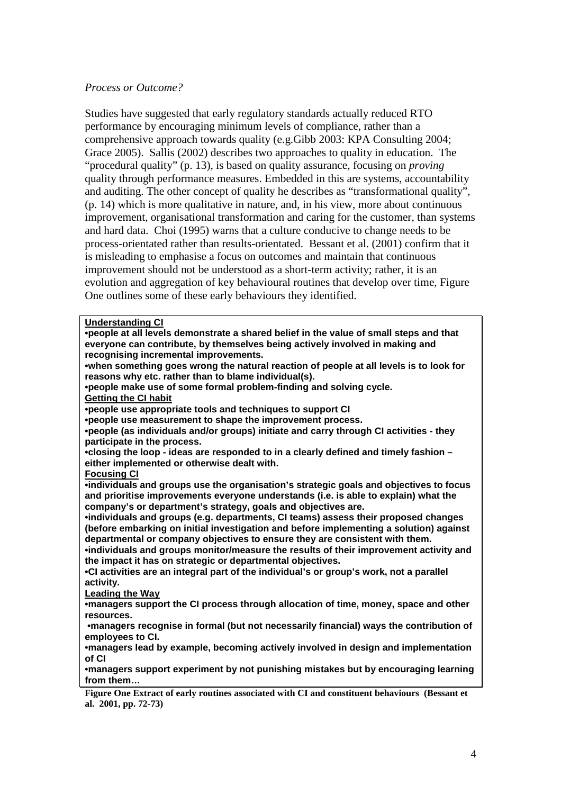#### *Process or Outcome?*

Studies have suggested that early regulatory standards actually reduced RTO performance by encouraging minimum levels of compliance, rather than a comprehensive approach towards quality (e.g.Gibb 2003: KPA Consulting 2004; Grace 2005). Sallis (2002) describes two approaches to quality in education. The "procedural quality" (p. 13), is based on quality assurance, focusing on *proving* quality through performance measures. Embedded in this are systems, accountability and auditing. The other concept of quality he describes as "transformational quality", (p. 14) which is more qualitative in nature, and, in his view, more about continuous improvement, organisational transformation and caring for the customer, than systems and hard data. Choi (1995) warns that a culture conducive to change needs to be process-orientated rather than results-orientated. Bessant et al. (2001) confirm that it is misleading to emphasise a focus on outcomes and maintain that continuous improvement should not be understood as a short-term activity; rather, it is an evolution and aggregation of key behavioural routines that develop over time, Figure One outlines some of these early behaviours they identified.

#### **Understanding CI**

**•people at all levels demonstrate a shared belief in the value of small steps and that everyone can contribute, by themselves being actively involved in making and recognising incremental improvements.** 

**•when something goes wrong the natural reaction of people at all levels is to look for reasons why etc. rather than to blame individual(s).** 

**•people make use of some formal problem-finding and solving cycle.** 

**Getting the CI habit**

**•people use appropriate tools and techniques to support CI** 

**•people use measurement to shape the improvement process.** 

**•people (as individuals and/or groups) initiate and carry through CI activities - they participate in the process.** 

**•closing the loop - ideas are responded to in a clearly defined and timely fashion – either implemented or otherwise dealt with.** 

## **Focusing CI**

**•individuals and groups use the organisation's strategic goals and objectives to focus and prioritise improvements everyone understands (i.e. is able to explain) what the company's or department's strategy, goals and objectives are.** 

**•individuals and groups (e.g. departments, CI teams) assess their proposed changes (before embarking on initial investigation and before implementing a solution) against departmental or company objectives to ensure they are consistent with them.** 

**•individuals and groups monitor/measure the results of their improvement activity and the impact it has on strategic or departmental objectives.** 

**•CI activities are an integral part of the individual's or group's work, not a parallel activity.** 

**Leading the Way**

**•managers support the CI process through allocation of time, money, space and other resources.** 

 **•managers recognise in formal (but not necessarily financial) ways the contribution of employees to CI.** 

**•managers lead by example, becoming actively involved in design and implementation of CI** 

**•managers support experiment by not punishing mistakes but by encouraging learning from them…** 

**Figure One Extract of early routines associated with CI and constituent behaviours (Bessant et al. 2001, pp. 72-73)**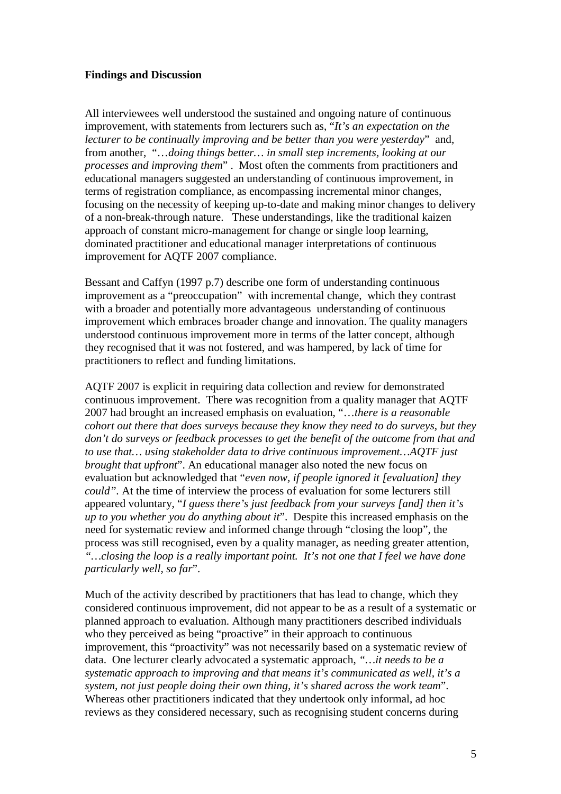### **Findings and Discussion**

All interviewees well understood the sustained and ongoing nature of continuous improvement, with statements from lecturers such as, "*It's an expectation on the lecturer to be continually improving and be better than you were yesterday*" and, from another, "…*doing things better… in small step increments, looking at our processes and improving them*" . Most often the comments from practitioners and educational managers suggested an understanding of continuous improvement, in terms of registration compliance, as encompassing incremental minor changes, focusing on the necessity of keeping up-to-date and making minor changes to delivery of a non-break-through nature. These understandings, like the traditional kaizen approach of constant micro-management for change or single loop learning, dominated practitioner and educational manager interpretations of continuous improvement for AQTF 2007 compliance.

Bessant and Caffyn (1997 p.7) describe one form of understanding continuous improvement as a "preoccupation" with incremental change, which they contrast with a broader and potentially more advantageous understanding of continuous improvement which embraces broader change and innovation. The quality managers understood continuous improvement more in terms of the latter concept, although they recognised that it was not fostered, and was hampered, by lack of time for practitioners to reflect and funding limitations.

AQTF 2007 is explicit in requiring data collection and review for demonstrated continuous improvement. There was recognition from a quality manager that AQTF 2007 had brought an increased emphasis on evaluation, "…*there is a reasonable cohort out there that does surveys because they know they need to do surveys, but they don't do surveys or feedback processes to get the benefit of the outcome from that and to use that… using stakeholder data to drive continuous improvement…AQTF just brought that upfront*". An educational manager also noted the new focus on evaluation but acknowledged that "*even now, if people ignored it [evaluation] they could".* At the time of interview the process of evaluation for some lecturers still appeared voluntary, "*I guess there's just feedback from your surveys [and] then it's up to you whether you do anything about it*". Despite this increased emphasis on the need for systematic review and informed change through "closing the loop", the process was still recognised, even by a quality manager, as needing greater attention, *"…closing the loop is a really important point. It's not one that I feel we have done particularly well, so far*".

Much of the activity described by practitioners that has lead to change, which they considered continuous improvement, did not appear to be as a result of a systematic or planned approach to evaluation. Although many practitioners described individuals who they perceived as being "proactive" in their approach to continuous improvement, this "proactivity" was not necessarily based on a systematic review of data. One lecturer clearly advocated a systematic approach, *"…it needs to be a systematic approach to improving and that means it's communicated as well, it's a system, not just people doing their own thing, it's shared across the work team*". Whereas other practitioners indicated that they undertook only informal, ad hoc reviews as they considered necessary, such as recognising student concerns during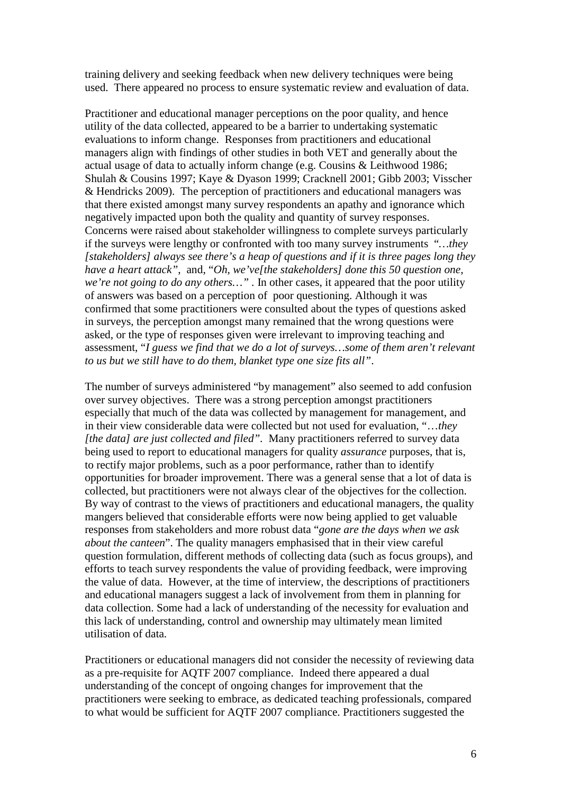training delivery and seeking feedback when new delivery techniques were being used. There appeared no process to ensure systematic review and evaluation of data.

Practitioner and educational manager perceptions on the poor quality, and hence utility of the data collected, appeared to be a barrier to undertaking systematic evaluations to inform change. Responses from practitioners and educational managers align with findings of other studies in both VET and generally about the actual usage of data to actually inform change (e.g. Cousins & Leithwood 1986; Shulah & Cousins 1997; Kaye & Dyason 1999; Cracknell 2001; Gibb 2003; Visscher & Hendricks 2009). The perception of practitioners and educational managers was that there existed amongst many survey respondents an apathy and ignorance which negatively impacted upon both the quality and quantity of survey responses. Concerns were raised about stakeholder willingness to complete surveys particularly if the surveys were lengthy or confronted with too many survey instruments "*…they [stakeholders] always see there's a heap of questions and if it is three pages long they have a heart attack"*, and, "*Oh, we've[the stakeholders] done this 50 question one, we're not going to do any others…" .* In other cases, it appeared that the poor utility of answers was based on a perception of poor questioning. Although it was confirmed that some practitioners were consulted about the types of questions asked in surveys, the perception amongst many remained that the wrong questions were asked, or the type of responses given were irrelevant to improving teaching and assessment, "*I guess we find that we do a lot of surveys…some of them aren't relevant to us but we still have to do them, blanket type one size fits all"*.

The number of surveys administered "by management" also seemed to add confusion over survey objectives. There was a strong perception amongst practitioners especially that much of the data was collected by management for management, and in their view considerable data were collected but not used for evaluation, "…*they [the data] are just collected and filed".* Many practitioners referred to survey data being used to report to educational managers for quality *assurance* purposes, that is, to rectify major problems, such as a poor performance, rather than to identify opportunities for broader improvement. There was a general sense that a lot of data is collected, but practitioners were not always clear of the objectives for the collection. By way of contrast to the views of practitioners and educational managers, the quality mangers believed that considerable efforts were now being applied to get valuable responses from stakeholders and more robust data "*gone are the days when we ask about the canteen*". The quality managers emphasised that in their view careful question formulation, different methods of collecting data (such as focus groups), and efforts to teach survey respondents the value of providing feedback, were improving the value of data. However, at the time of interview, the descriptions of practitioners and educational managers suggest a lack of involvement from them in planning for data collection. Some had a lack of understanding of the necessity for evaluation and this lack of understanding, control and ownership may ultimately mean limited utilisation of data.

Practitioners or educational managers did not consider the necessity of reviewing data as a pre-requisite for AQTF 2007 compliance. Indeed there appeared a dual understanding of the concept of ongoing changes for improvement that the practitioners were seeking to embrace, as dedicated teaching professionals, compared to what would be sufficient for AQTF 2007 compliance. Practitioners suggested the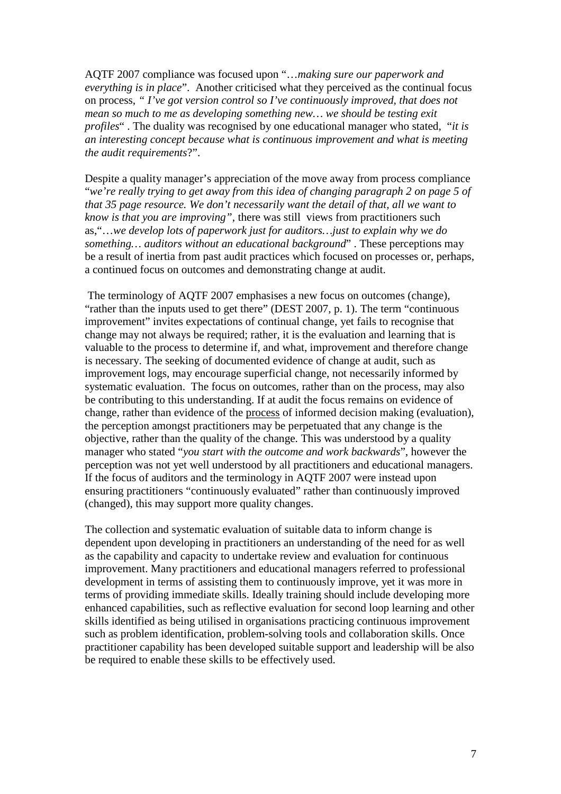AQTF 2007 compliance was focused upon "…*making sure our paperwork and everything is in place*". Another criticised what they perceived as the continual focus on process, *" I've got version control so I've continuously improved, that does not mean so much to me as developing something new… we should be testing exit profiles*" . The duality was recognised by one educational manager who stated, "*it is an interesting concept because what is continuous improvement and what is meeting the audit requirements*?".

Despite a quality manager's appreciation of the move away from process compliance "*we're really trying to get away from this idea of changing paragraph 2 on page 5 of that 35 page resource. We don't necessarily want the detail of that, all we want to know is that you are improving"*, there was still views from practitioners such as,"…*we develop lots of paperwork just for auditors…just to explain why we do something… auditors without an educational background*" . These perceptions may be a result of inertia from past audit practices which focused on processes or, perhaps, a continued focus on outcomes and demonstrating change at audit.

 The terminology of AQTF 2007 emphasises a new focus on outcomes (change), "rather than the inputs used to get there" (DEST 2007, p. 1). The term "continuous improvement" invites expectations of continual change, yet fails to recognise that change may not always be required; rather, it is the evaluation and learning that is valuable to the process to determine if, and what, improvement and therefore change is necessary. The seeking of documented evidence of change at audit, such as improvement logs, may encourage superficial change, not necessarily informed by systematic evaluation. The focus on outcomes, rather than on the process, may also be contributing to this understanding. If at audit the focus remains on evidence of change, rather than evidence of the process of informed decision making (evaluation), the perception amongst practitioners may be perpetuated that any change is the objective, rather than the quality of the change. This was understood by a quality manager who stated "*you start with the outcome and work backwards*", however the perception was not yet well understood by all practitioners and educational managers. If the focus of auditors and the terminology in AQTF 2007 were instead upon ensuring practitioners "continuously evaluated" rather than continuously improved (changed), this may support more quality changes.

The collection and systematic evaluation of suitable data to inform change is dependent upon developing in practitioners an understanding of the need for as well as the capability and capacity to undertake review and evaluation for continuous improvement. Many practitioners and educational managers referred to professional development in terms of assisting them to continuously improve, yet it was more in terms of providing immediate skills. Ideally training should include developing more enhanced capabilities, such as reflective evaluation for second loop learning and other skills identified as being utilised in organisations practicing continuous improvement such as problem identification, problem-solving tools and collaboration skills. Once practitioner capability has been developed suitable support and leadership will be also be required to enable these skills to be effectively used.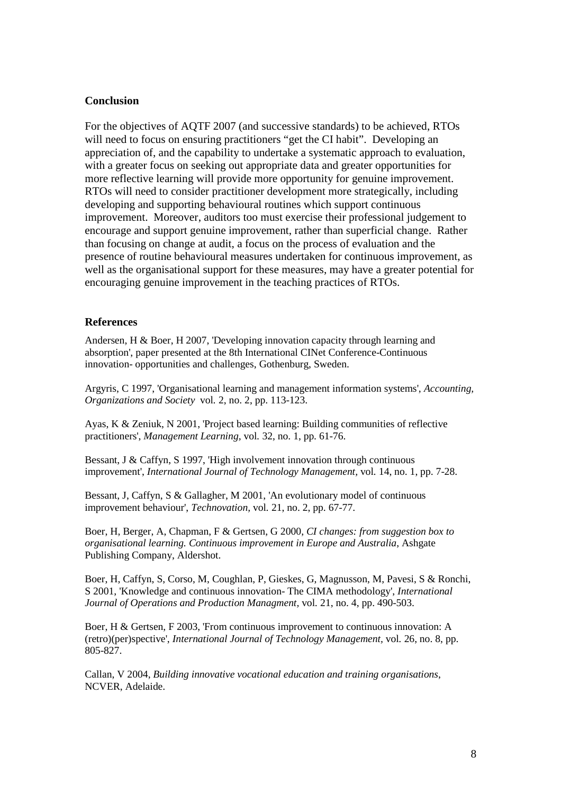#### **Conclusion**

For the objectives of AQTF 2007 (and successive standards) to be achieved, RTOs will need to focus on ensuring practitioners "get the CI habit". Developing an appreciation of, and the capability to undertake a systematic approach to evaluation, with a greater focus on seeking out appropriate data and greater opportunities for more reflective learning will provide more opportunity for genuine improvement. RTOs will need to consider practitioner development more strategically, including developing and supporting behavioural routines which support continuous improvement. Moreover, auditors too must exercise their professional judgement to encourage and support genuine improvement, rather than superficial change. Rather than focusing on change at audit, a focus on the process of evaluation and the presence of routine behavioural measures undertaken for continuous improvement, as well as the organisational support for these measures, may have a greater potential for encouraging genuine improvement in the teaching practices of RTOs.

#### **References**

Andersen, H & Boer, H 2007, 'Developing innovation capacity through learning and absorption', paper presented at the 8th International CINet Conference-Continuous innovation- opportunities and challenges, Gothenburg, Sweden.

Argyris, C 1997, 'Organisational learning and management information systems', *Accounting, Organizations and Society* vol*.* 2, no. 2, pp. 113-123.

Ayas, K & Zeniuk, N 2001, 'Project based learning: Building communities of reflective practitioners', *Management Learning,* vol*.* 32, no. 1, pp. 61-76.

Bessant, J & Caffyn, S 1997, 'High involvement innovation through continuous improvement', *International Journal of Technology Management,* vol*.* 14, no. 1, pp. 7-28.

Bessant, J, Caffyn, S & Gallagher, M 2001, 'An evolutionary model of continuous improvement behaviour', *Technovation,* vol*.* 21, no. 2, pp. 67-77.

Boer, H, Berger, A, Chapman, F & Gertsen, G 2000, *CI changes: from suggestion box to organisational learning. Continuous improvement in Europe and Australia*, Ashgate Publishing Company, Aldershot.

Boer, H, Caffyn, S, Corso, M, Coughlan, P, Gieskes, G, Magnusson, M, Pavesi, S & Ronchi, S 2001, 'Knowledge and continuous innovation- The CIMA methodology', *International Journal of Operations and Production Managment,* vol*.* 21, no. 4, pp. 490-503.

Boer, H & Gertsen, F 2003, 'From continuous improvement to continuous innovation: A (retro)(per)spective', *International Journal of Technology Management,* vol*.* 26, no. 8, pp. 805-827.

Callan, V 2004, *Building innovative vocational education and training organisations*, NCVER, Adelaide.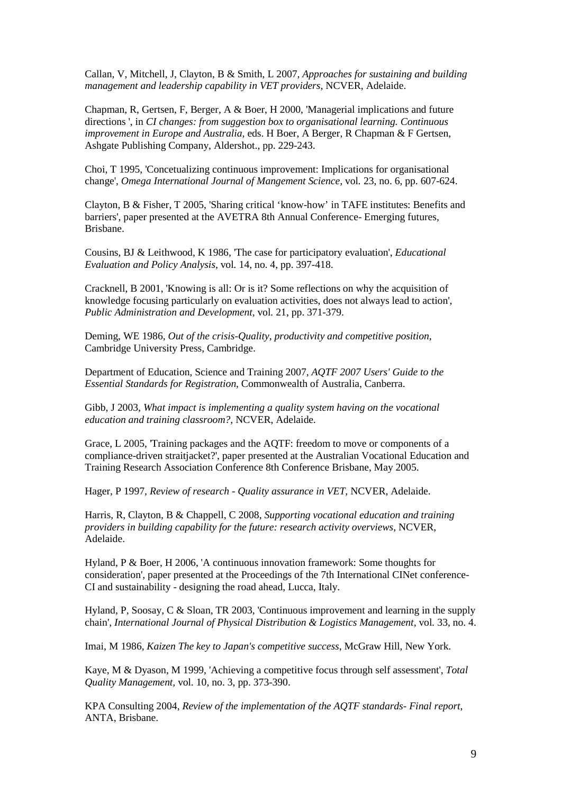Callan, V, Mitchell, J, Clayton, B & Smith, L 2007, *Approaches for sustaining and building management and leadership capability in VET providers*, NCVER, Adelaide.

Chapman, R, Gertsen, F, Berger, A & Boer, H 2000, 'Managerial implications and future directions ', in *CI changes: from suggestion box to organisational learning. Continuous improvement in Europe and Australia*, eds. H Boer, A Berger, R Chapman & F Gertsen, Ashgate Publishing Company, Aldershot., pp. 229-243.

Choi, T 1995, 'Concetualizing continuous improvement: Implications for organisational change', *Omega International Journal of Mangement Science,* vol*.* 23, no. 6, pp. 607-624.

Clayton, B & Fisher, T 2005, 'Sharing critical 'know-how' in TAFE institutes: Benefits and barriers', paper presented at the AVETRA 8th Annual Conference- Emerging futures, Brisbane.

Cousins, BJ & Leithwood, K 1986, 'The case for participatory evaluation', *Educational Evaluation and Policy Analysis,* vol*.* 14, no. 4, pp. 397-418.

Cracknell, B 2001, 'Knowing is all: Or is it? Some reflections on why the acquisition of knowledge focusing particularly on evaluation activities, does not always lead to action', *Public Administration and Development,* vol*.* 21, pp. 371-379.

Deming, WE 1986, *Out of the crisis-Quality, productivity and competitive position*, Cambridge University Press, Cambridge.

Department of Education, Science and Training 2007, *AQTF 2007 Users' Guide to the Essential Standards for Registration*, Commonwealth of Australia, Canberra.

Gibb, J 2003, *What impact is implementing a quality system having on the vocational education and training classroom?*, NCVER, Adelaide.

Grace, L 2005, 'Training packages and the AQTF: freedom to move or components of a compliance-driven straitjacket?', paper presented at the Australian Vocational Education and Training Research Association Conference 8th Conference Brisbane, May 2005.

Hager, P 1997, *Review of research - Quality assurance in VET*, NCVER, Adelaide.

Harris, R, Clayton, B & Chappell, C 2008, *Supporting vocational education and training providers in building capability for the future: research activity overviews*, NCVER, Adelaide.

Hyland, P & Boer, H 2006, 'A continuous innovation framework: Some thoughts for consideration', paper presented at the Proceedings of the 7th International CINet conference-CI and sustainability - designing the road ahead, Lucca, Italy.

Hyland, P, Soosay, C & Sloan, TR 2003, 'Continuous improvement and learning in the supply chain', *International Journal of Physical Distribution & Logistics Management,* vol*.* 33, no. 4.

Imai, M 1986, *Kaizen The key to Japan's competitive success*, McGraw Hill, New York.

Kaye, M & Dyason, M 1999, 'Achieving a competitive focus through self assessment', *Total Quality Management,* vol*.* 10, no. 3, pp. 373-390.

KPA Consulting 2004, *Review of the implementation of the AQTF standards- Final report*, ANTA, Brisbane.